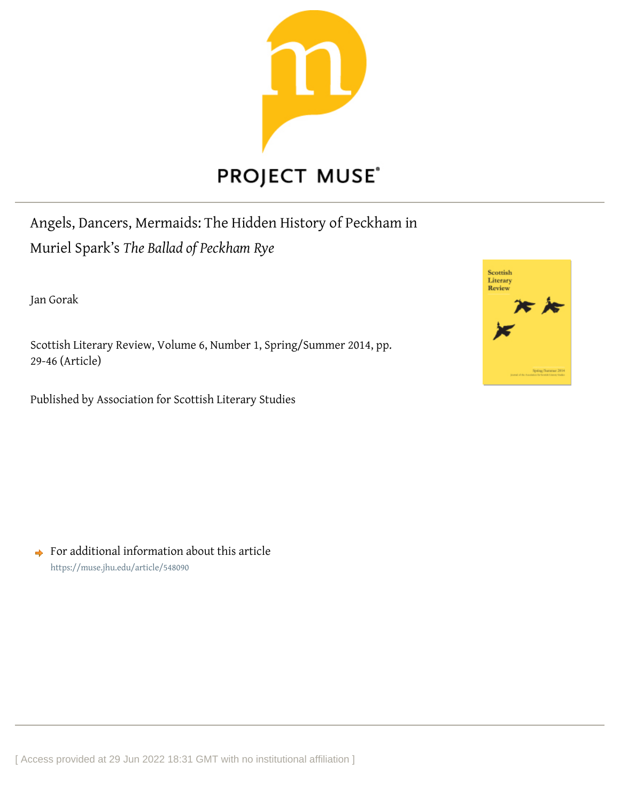

# **PROJECT MUSE®**

Angels, Dancers, Mermaids: The Hidden History of Peckham in Muriel Spark's *The Ballad of Peckham Rye*

Jan Gorak

Scottish Literary Review, Volume 6, Number 1, Spring/Summer 2014, pp. 29-46 (Article)

Published by Association for Scottish Literary Studies



 $\rightarrow$  For additional information about this article <https://muse.jhu.edu/article/548090>

[ Access provided at 29 Jun 2022 18:31 GMT with no institutional affiliation ]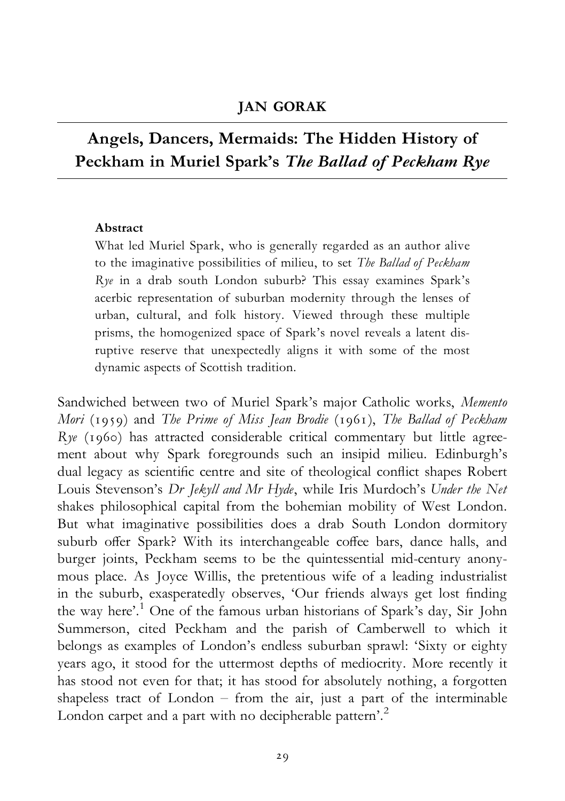#### JAN GORAK

## Angels, Dancers, Mermaids: The Hidden History of Peckham in Muriel Spark's The Ballad of Peckham Rye

#### Abstract

What led Muriel Spark, who is generally regarded as an author alive to the imaginative possibilities of milieu, to set The Ballad of Peckham Rye in a drab south London suburb? This essay examines Spark's acerbic representation of suburban modernity through the lenses of urban, cultural, and folk history. Viewed through these multiple prisms, the homogenized space of Spark's novel reveals a latent disruptive reserve that unexpectedly aligns it with some of the most dynamic aspects of Scottish tradition.

Sandwiched between two of Muriel Spark's major Catholic works, Memento Mori (1959) and The Prime of Miss Jean Brodie (1961), The Ballad of Peckham Rye (1960) has attracted considerable critical commentary but little agreement about why Spark foregrounds such an insipid milieu. Edinburgh's dual legacy as scientific centre and site of theological conflict shapes Robert Louis Stevenson's Dr Jekyll and Mr Hyde, while Iris Murdoch's Under the Net shakes philosophical capital from the bohemian mobility of West London. But what imaginative possibilities does a drab South London dormitory suburb offer Spark? With its interchangeable coffee bars, dance halls, and burger joints, Peckham seems to be the quintessential mid-century anonymous place. As Joyce Willis, the pretentious wife of a leading industrialist in the suburb, exasperatedly observes, 'Our friends always get lost finding the way here'.<sup>1</sup> One of the famous urban historians of Spark's day, Sir John Summerson, cited Peckham and the parish of Camberwell to which it belongs as examples of London's endless suburban sprawl: 'Sixty or eighty years ago, it stood for the uttermost depths of mediocrity. More recently it has stood not even for that; it has stood for absolutely nothing, a forgotten shapeless tract of London  $-$  from the air, just a part of the interminable London carpet and a part with no decipherable pattern'.<sup>2</sup>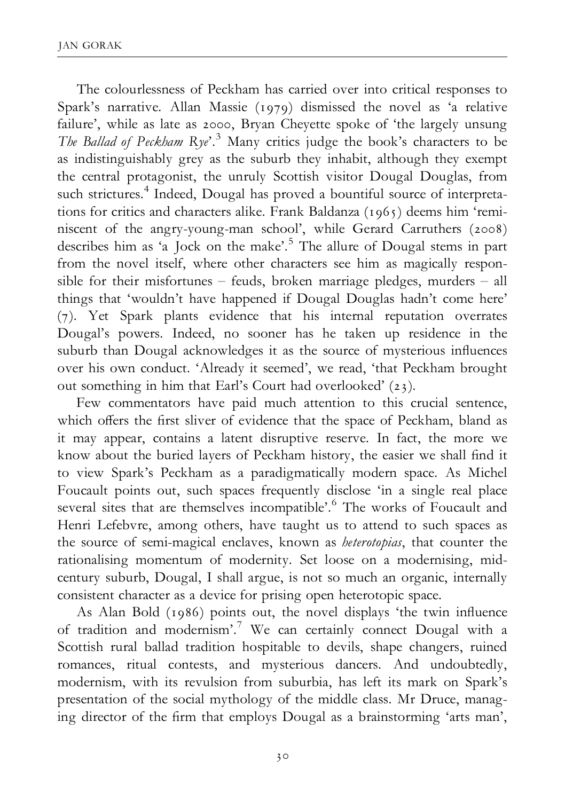The colourlessness of Peckham has carried over into critical responses to Spark's narrative. Allan Massie (1979) dismissed the novel as 'a relative failure', while as late as 2000, Bryan Cheyette spoke of 'the largely unsung The Ballad of Peckham Rye'.<sup>3</sup> Many critics judge the book's characters to be as indistinguishably grey as the suburb they inhabit, although they exempt the central protagonist, the unruly Scottish visitor Dougal Douglas, from such strictures.<sup>4</sup> Indeed, Dougal has proved a bountiful source of interpretations for critics and characters alike. Frank Baldanza (1965) deems him 'reminiscent of the angry-young-man school', while Gerard Carruthers (2008) describes him as 'a Jock on the make'.<sup>5</sup> The allure of Dougal stems in part from the novel itself, where other characters see him as magically responsible for their misfortunes  $-$  feuds, broken marriage pledges, murders  $-$  all things that 'wouldn't have happened if Dougal Douglas hadn't come here' (7). Yet Spark plants evidence that his internal reputation overrates Dougal's powers. Indeed, no sooner has he taken up residence in the suburb than Dougal acknowledges it as the source of mysterious influences over his own conduct. 'Already it seemed', we read, 'that Peckham brought out something in him that Earl's Court had overlooked' (23).

Few commentators have paid much attention to this crucial sentence, which offers the first sliver of evidence that the space of Peckham, bland as it may appear, contains a latent disruptive reserve. In fact, the more we know about the buried layers of Peckham history, the easier we shall find it to view Spark's Peckham as a paradigmatically modern space. As Michel Foucault points out, such spaces frequently disclose 'in a single real place several sites that are themselves incompatible'.<sup>6</sup> The works of Foucault and Henri Lefebvre, among others, have taught us to attend to such spaces as the source of semi-magical enclaves, known as *heterotopias*, that counter the rationalising momentum of modernity. Set loose on a modernising, midcentury suburb, Dougal, I shall argue, is not so much an organic, internally consistent character as a device for prising open heterotopic space.

As Alan Bold (1986) points out, the novel displays 'the twin influence of tradition and modernism'.7 We can certainly connect Dougal with a Scottish rural ballad tradition hospitable to devils, shape changers, ruined romances, ritual contests, and mysterious dancers. And undoubtedly, modernism, with its revulsion from suburbia, has left its mark on Spark's presentation of the social mythology of the middle class. Mr Druce, managing director of the firm that employs Dougal as a brainstorming 'arts man',

30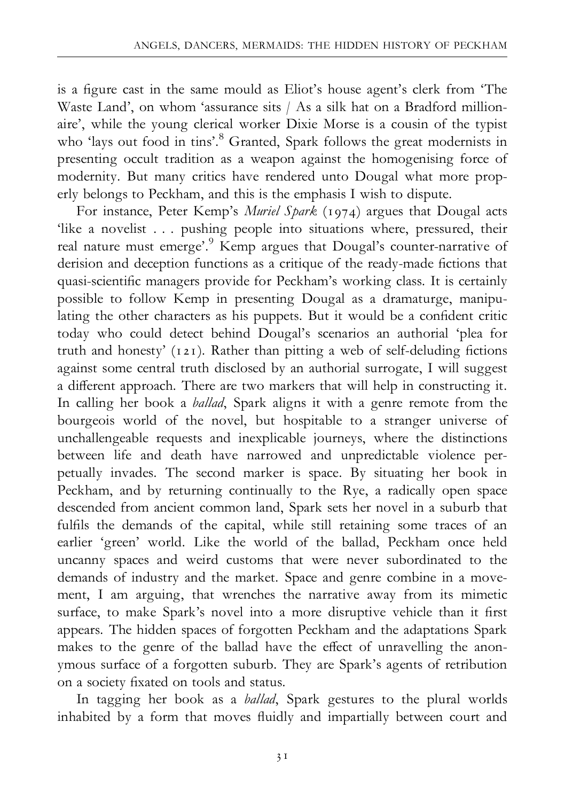is a figure cast in the same mould as Eliot's house agent's clerk from 'The Waste Land', on whom 'assurance sits / As a silk hat on a Bradford millionaire', while the young clerical worker Dixie Morse is a cousin of the typist who 'lays out food in tins'.<sup>8</sup> Granted, Spark follows the great modernists in presenting occult tradition as a weapon against the homogenising force of modernity. But many critics have rendered unto Dougal what more properly belongs to Peckham, and this is the emphasis I wish to dispute.

For instance, Peter Kemp's Muriel Spark (1974) argues that Dougal acts 'like a novelist . . . pushing people into situations where, pressured, their real nature must emerge'.<sup>9</sup> Kemp argues that Dougal's counter-narrative of derision and deception functions as a critique of the ready-made fictions that quasi-scientific managers provide for Peckham's working class. It is certainly possible to follow Kemp in presenting Dougal as a dramaturge, manipulating the other characters as his puppets. But it would be a confident critic today who could detect behind Dougal's scenarios an authorial 'plea for truth and honesty' (121). Rather than pitting a web of self-deluding fictions against some central truth disclosed by an authorial surrogate, I will suggest a different approach. There are two markers that will help in constructing it. In calling her book a *ballad*, Spark aligns it with a genre remote from the bourgeois world of the novel, but hospitable to a stranger universe of unchallengeable requests and inexplicable journeys, where the distinctions between life and death have narrowed and unpredictable violence perpetually invades. The second marker is space. By situating her book in Peckham, and by returning continually to the Rye, a radically open space descended from ancient common land, Spark sets her novel in a suburb that fulfils the demands of the capital, while still retaining some traces of an earlier 'green' world. Like the world of the ballad, Peckham once held uncanny spaces and weird customs that were never subordinated to the demands of industry and the market. Space and genre combine in a movement, I am arguing, that wrenches the narrative away from its mimetic surface, to make Spark's novel into a more disruptive vehicle than it first appears. The hidden spaces of forgotten Peckham and the adaptations Spark makes to the genre of the ballad have the effect of unravelling the anonymous surface of a forgotten suburb. They are Spark's agents of retribution on a society fixated on tools and status.

In tagging her book as a ballad, Spark gestures to the plural worlds inhabited by a form that moves fluidly and impartially between court and

31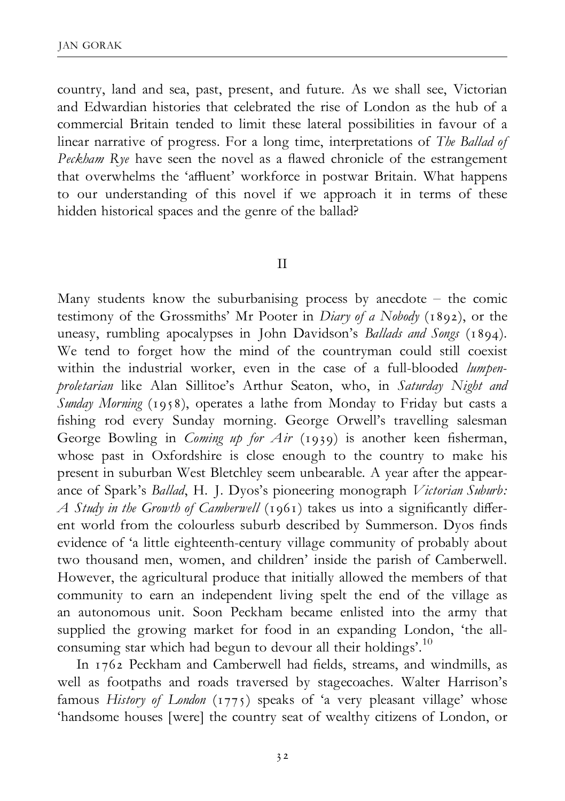country, land and sea, past, present, and future. As we shall see, Victorian and Edwardian histories that celebrated the rise of London as the hub of a commercial Britain tended to limit these lateral possibilities in favour of a linear narrative of progress. For a long time, interpretations of The Ballad of Peckham Rye have seen the novel as a flawed chronicle of the estrangement that overwhelms the 'affluent' workforce in postwar Britain. What happens to our understanding of this novel if we approach it in terms of these hidden historical spaces and the genre of the ballad?

#### II

Many students know the suburbanising process by anecdote  $-$  the comic testimony of the Grossmiths' Mr Pooter in Diary of a Nobody (1892), or the uneasy, rumbling apocalypses in John Davidson's Ballads and Songs (1894). We tend to forget how the mind of the countryman could still coexist within the industrial worker, even in the case of a full-blooded lumpenproletarian like Alan Sillitoe's Arthur Seaton, who, in Saturday Night and Sunday Morning (1958), operates a lathe from Monday to Friday but casts a fishing rod every Sunday morning. George Orwell's travelling salesman George Bowling in *Coming up for Air* (1939) is another keen fisherman, whose past in Oxfordshire is close enough to the country to make his present in suburban West Bletchley seem unbearable. A year after the appearance of Spark's Ballad, H. J. Dyos's pioneering monograph Victorian Suburb: A Study in the Growth of Camberwell (1961) takes us into a significantly different world from the colourless suburb described by Summerson. Dyos finds evidence of 'a little eighteenth-century village community of probably about two thousand men, women, and children' inside the parish of Camberwell. However, the agricultural produce that initially allowed the members of that community to earn an independent living spelt the end of the village as an autonomous unit. Soon Peckham became enlisted into the army that supplied the growing market for food in an expanding London, 'the allconsuming star which had begun to devour all their holdings'.<sup>10</sup>

In 1762 Peckham and Camberwell had fields, streams, and windmills, as well as footpaths and roads traversed by stagecoaches. Walter Harrison's famous History of London (1775) speaks of 'a very pleasant village' whose 'handsome houses [were] the country seat of wealthy citizens of London, or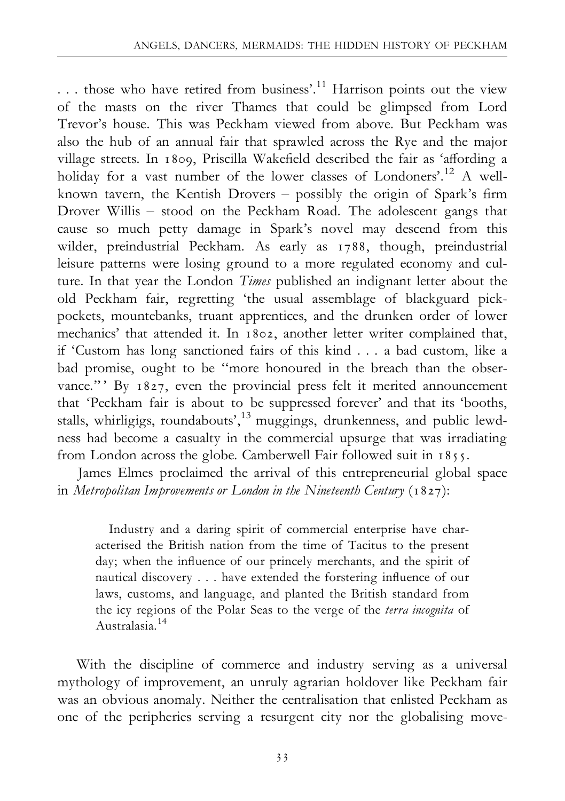... those who have retired from business'.<sup>11</sup> Harrison points out the view of the masts on the river Thames that could be glimpsed from Lord Trevor's house. This was Peckham viewed from above. But Peckham was also the hub of an annual fair that sprawled across the Rye and the major village streets. In 1809, Priscilla Wakefield described the fair as 'affording a holiday for a vast number of the lower classes of Londoners'.<sup>12</sup> A wellknown tavern, the Kentish Drovers  $-$  possibly the origin of Spark's firm Drover Willis - stood on the Peckham Road. The adolescent gangs that cause so much petty damage in Spark's novel may descend from this wilder, preindustrial Peckham. As early as 1788, though, preindustrial leisure patterns were losing ground to a more regulated economy and culture. In that year the London Times published an indignant letter about the old Peckham fair, regretting 'the usual assemblage of blackguard pickpockets, mountebanks, truant apprentices, and the drunken order of lower mechanics' that attended it. In 1802, another letter writer complained that, if 'Custom has long sanctioned fairs of this kind . . . a bad custom, like a bad promise, ought to be ''more honoured in the breach than the observance." By 1827, even the provincial press felt it merited announcement that 'Peckham fair is about to be suppressed forever' and that its 'booths, stalls, whirligigs, roundabouts',<sup>13</sup> muggings, drunkenness, and public lewdness had become a casualty in the commercial upsurge that was irradiating from London across the globe. Camberwell Fair followed suit in 1855.

James Elmes proclaimed the arrival of this entrepreneurial global space in Metropolitan Improvements or London in the Nineteenth Century  $(1827)$ :

Industry and a daring spirit of commercial enterprise have characterised the British nation from the time of Tacitus to the present day; when the influence of our princely merchants, and the spirit of nautical discovery . . . have extended the forstering influence of our laws, customs, and language, and planted the British standard from the icy regions of the Polar Seas to the verge of the terra incognita of Australasia.<sup>14</sup>

With the discipline of commerce and industry serving as a universal mythology of improvement, an unruly agrarian holdover like Peckham fair was an obvious anomaly. Neither the centralisation that enlisted Peckham as one of the peripheries serving a resurgent city nor the globalising move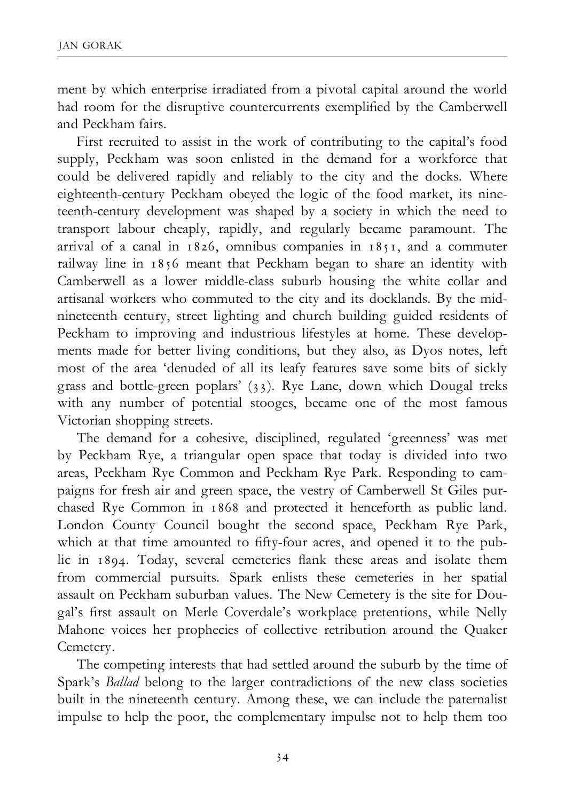ment by which enterprise irradiated from a pivotal capital around the world had room for the disruptive countercurrents exemplified by the Camberwell and Peckham fairs.

First recruited to assist in the work of contributing to the capital's food supply, Peckham was soon enlisted in the demand for a workforce that could be delivered rapidly and reliably to the city and the docks. Where eighteenth-century Peckham obeyed the logic of the food market, its nineteenth-century development was shaped by a society in which the need to transport labour cheaply, rapidly, and regularly became paramount. The arrival of a canal in 1826, omnibus companies in 1851, and a commuter railway line in 1856 meant that Peckham began to share an identity with Camberwell as a lower middle-class suburb housing the white collar and artisanal workers who commuted to the city and its docklands. By the midnineteenth century, street lighting and church building guided residents of Peckham to improving and industrious lifestyles at home. These developments made for better living conditions, but they also, as Dyos notes, left most of the area 'denuded of all its leafy features save some bits of sickly grass and bottle-green poplars' (33). Rye Lane, down which Dougal treks with any number of potential stooges, became one of the most famous Victorian shopping streets.

The demand for a cohesive, disciplined, regulated 'greenness' was met by Peckham Rye, a triangular open space that today is divided into two areas, Peckham Rye Common and Peckham Rye Park. Responding to campaigns for fresh air and green space, the vestry of Camberwell St Giles purchased Rye Common in 1868 and protected it henceforth as public land. London County Council bought the second space, Peckham Rye Park, which at that time amounted to fifty-four acres, and opened it to the public in 1894. Today, several cemeteries flank these areas and isolate them from commercial pursuits. Spark enlists these cemeteries in her spatial assault on Peckham suburban values. The New Cemetery is the site for Dougal's first assault on Merle Coverdale's workplace pretentions, while Nelly Mahone voices her prophecies of collective retribution around the Quaker Cemetery.

The competing interests that had settled around the suburb by the time of Spark's Ballad belong to the larger contradictions of the new class societies built in the nineteenth century. Among these, we can include the paternalist impulse to help the poor, the complementary impulse not to help them too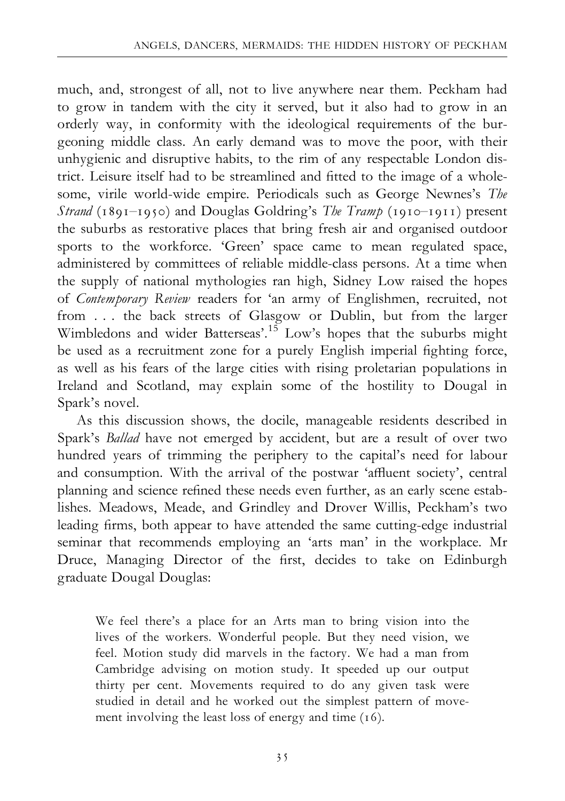much, and, strongest of all, not to live anywhere near them. Peckham had to grow in tandem with the city it served, but it also had to grow in an orderly way, in conformity with the ideological requirements of the burgeoning middle class. An early demand was to move the poor, with their unhygienic and disruptive habits, to the rim of any respectable London district. Leisure itself had to be streamlined and fitted to the image of a wholesome, virile world-wide empire. Periodicals such as George Newnes's The Strand (1891-1950) and Douglas Goldring's The Tramp (1910-1911) present the suburbs as restorative places that bring fresh air and organised outdoor sports to the workforce. 'Green' space came to mean regulated space, administered by committees of reliable middle-class persons. At a time when the supply of national mythologies ran high, Sidney Low raised the hopes of Contemporary Review readers for 'an army of Englishmen, recruited, not from . . . the back streets of Glasgow or Dublin, but from the larger Wimbledons and wider Batterseas'.<sup>15</sup> Low's hopes that the suburbs might be used as a recruitment zone for a purely English imperial fighting force, as well as his fears of the large cities with rising proletarian populations in Ireland and Scotland, may explain some of the hostility to Dougal in Spark's novel.

As this discussion shows, the docile, manageable residents described in Spark's Ballad have not emerged by accident, but are a result of over two hundred years of trimming the periphery to the capital's need for labour and consumption. With the arrival of the postwar 'affluent society', central planning and science refined these needs even further, as an early scene establishes. Meadows, Meade, and Grindley and Drover Willis, Peckham's two leading firms, both appear to have attended the same cutting-edge industrial seminar that recommends employing an 'arts man' in the workplace. Mr Druce, Managing Director of the first, decides to take on Edinburgh graduate Dougal Douglas:

We feel there's a place for an Arts man to bring vision into the lives of the workers. Wonderful people. But they need vision, we feel. Motion study did marvels in the factory. We had a man from Cambridge advising on motion study. It speeded up our output thirty per cent. Movements required to do any given task were studied in detail and he worked out the simplest pattern of movement involving the least loss of energy and time (16).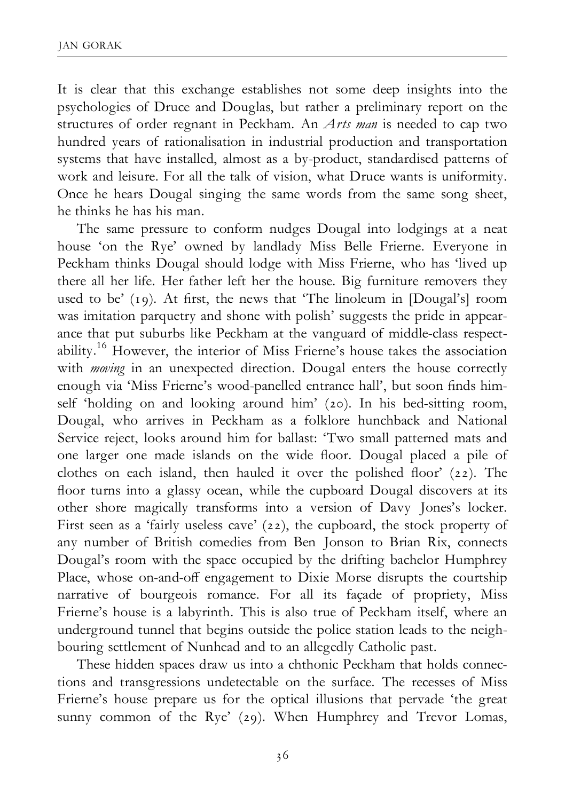It is clear that this exchange establishes not some deep insights into the psychologies of Druce and Douglas, but rather a preliminary report on the structures of order regnant in Peckham. An Arts man is needed to cap two hundred years of rationalisation in industrial production and transportation systems that have installed, almost as a by-product, standardised patterns of work and leisure. For all the talk of vision, what Druce wants is uniformity. Once he hears Dougal singing the same words from the same song sheet, he thinks he has his man.

The same pressure to conform nudges Dougal into lodgings at a neat house 'on the Rye' owned by landlady Miss Belle Frierne. Everyone in Peckham thinks Dougal should lodge with Miss Frierne, who has 'lived up there all her life. Her father left her the house. Big furniture removers they used to be'  $(19)$ . At first, the news that 'The linoleum in [Dougal's] room was imitation parquetry and shone with polish' suggests the pride in appearance that put suburbs like Peckham at the vanguard of middle-class respectability.16 However, the interior of Miss Frierne's house takes the association with *moving* in an unexpected direction. Dougal enters the house correctly enough via 'Miss Frierne's wood-panelled entrance hall', but soon finds himself 'holding on and looking around him' (20). In his bed-sitting room, Dougal, who arrives in Peckham as a folklore hunchback and National Service reject, looks around him for ballast: 'Two small patterned mats and one larger one made islands on the wide floor. Dougal placed a pile of clothes on each island, then hauled it over the polished floor'  $(22)$ . The floor turns into a glassy ocean, while the cupboard Dougal discovers at its other shore magically transforms into a version of Davy Jones's locker. First seen as a 'fairly useless cave' (22), the cupboard, the stock property of any number of British comedies from Ben Jonson to Brian Rix, connects Dougal's room with the space occupied by the drifting bachelor Humphrey Place, whose on-and-off engagement to Dixie Morse disrupts the courtship narrative of bourgeois romance. For all its façade of propriety, Miss Frierne's house is a labyrinth. This is also true of Peckham itself, where an underground tunnel that begins outside the police station leads to the neighbouring settlement of Nunhead and to an allegedly Catholic past.

These hidden spaces draw us into a chthonic Peckham that holds connections and transgressions undetectable on the surface. The recesses of Miss Frierne's house prepare us for the optical illusions that pervade 'the great sunny common of the Rye' (29). When Humphrey and Trevor Lomas,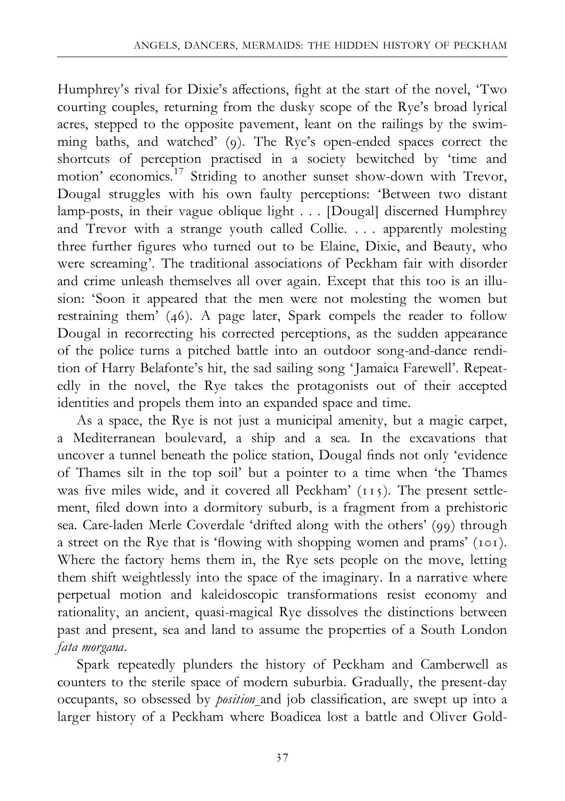Humphrey's rival for Dixie's affections, fight at the start of the novel, 'Two courting couples, returning from the dusky scope of the Rye's broad lyrical acres, stepped to the opposite pavement, leant on the railings by the swimming baths, and watched' (9). The Rye's open-ended spaces correct the shortcuts of perception practised in a society bewitched by 'time and motion' economics.<sup>17</sup> Striding to another sunset show-down with Trevor, Dougal struggles with his own faulty perceptions: 'Between two distant lamp-posts, in their vague oblique light . . . [Dougal] discerned Humphrey and Trevor with a strange youth called Collie. . . . apparently molesting three further figures who turned out to be Elaine, Dixie, and Beauty, who were screaming'. The traditional associations of Peckham fair with disorder and crime unleash themselves all over again. Except that this too is an illusion: 'Soon it appeared that the men were not molesting the women but restraining them' (46). A page later, Spark compels the reader to follow Dougal in recorrecting his corrected perceptions, as the sudden appearance of the police turns a pitched battle into an outdoor song-and-dance rendition of Harry Belafonte's hit, the sad sailing song 'Jamaica Farewell'. Repeatedly in the novel, the Rye takes the protagonists out of their accepted identities and propels them into an expanded space and time.

As a space, the Rye is not just a municipal amenity, but a magic carpet, a Mediterranean boulevard, a ship and a sea. In the excavations that uncover a tunnel beneath the police station, Dougal finds not only 'evidence of Thames silt in the top soil' but a pointer to a time when 'the Thames was five miles wide, and it covered all Peckham'  $(115)$ . The present settlement, filed down into a dormitory suburb, is a fragment from a prehistoric sea. Care-laden Merle Coverdale 'drifted along with the others' (99) through a street on the Rye that is 'flowing with shopping women and prams' (101). Where the factory hems them in, the Rye sets people on the move, letting them shift weightlessly into the space of the imaginary. In a narrative where perpetual motion and kaleidoscopic transformations resist economy and rationality, an ancient, quasi-magical Rye dissolves the distinctions between past and present, sea and land to assume the properties of a South London fata morgana.

Spark repeatedly plunders the history of Peckham and Camberwell as counters to the sterile space of modern suburbia. Gradually, the present-day occupants, so obsessed by *position* and job classification, are swept up into a larger history of a Peckham where Boadicea lost a battle and Oliver Gold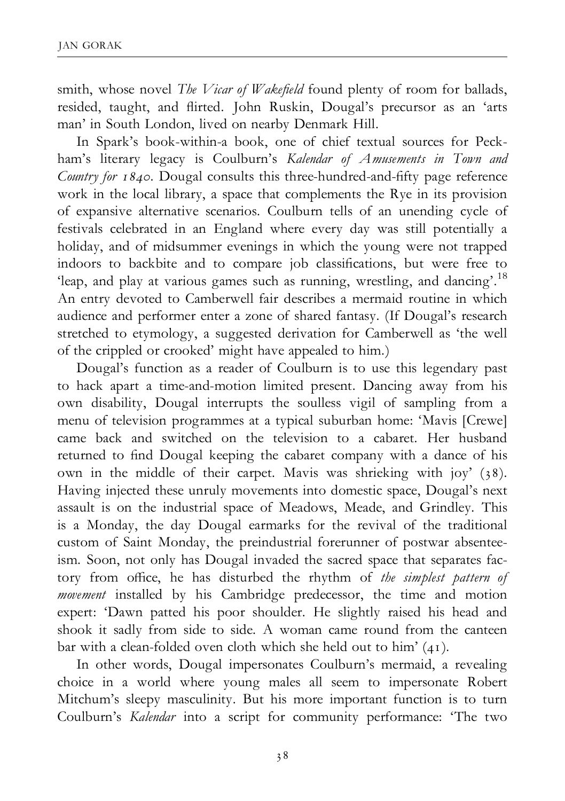smith, whose novel The Vicar of Wakefield found plenty of room for ballads, resided, taught, and flirted. John Ruskin, Dougal's precursor as an 'arts man' in South London, lived on nearby Denmark Hill.

In Spark's book-within-a book, one of chief textual sources for Peckham's literary legacy is Coulburn's Kalendar of Amusements in Town and Country for  $1840$ . Dougal consults this three-hundred-and-fifty page reference work in the local library, a space that complements the Rye in its provision of expansive alternative scenarios. Coulburn tells of an unending cycle of festivals celebrated in an England where every day was still potentially a holiday, and of midsummer evenings in which the young were not trapped indoors to backbite and to compare job classifications, but were free to 'leap, and play at various games such as running, wrestling, and dancing'.18 An entry devoted to Camberwell fair describes a mermaid routine in which audience and performer enter a zone of shared fantasy. (If Dougal's research stretched to etymology, a suggested derivation for Camberwell as 'the well of the crippled or crooked' might have appealed to him.)

Dougal's function as a reader of Coulburn is to use this legendary past to hack apart a time-and-motion limited present. Dancing away from his own disability, Dougal interrupts the soulless vigil of sampling from a menu of television programmes at a typical suburban home: 'Mavis [Crewe] came back and switched on the television to a cabaret. Her husband returned to find Dougal keeping the cabaret company with a dance of his own in the middle of their carpet. Mavis was shrieking with joy' (38). Having injected these unruly movements into domestic space, Dougal's next assault is on the industrial space of Meadows, Meade, and Grindley. This is a Monday, the day Dougal earmarks for the revival of the traditional custom of Saint Monday, the preindustrial forerunner of postwar absenteeism. Soon, not only has Dougal invaded the sacred space that separates factory from office, he has disturbed the rhythm of the simplest pattern of movement installed by his Cambridge predecessor, the time and motion expert: 'Dawn patted his poor shoulder. He slightly raised his head and shook it sadly from side to side. A woman came round from the canteen bar with a clean-folded oven cloth which she held out to him' (41).

In other words, Dougal impersonates Coulburn's mermaid, a revealing choice in a world where young males all seem to impersonate Robert Mitchum's sleepy masculinity. But his more important function is to turn Coulburn's Kalendar into a script for community performance: 'The two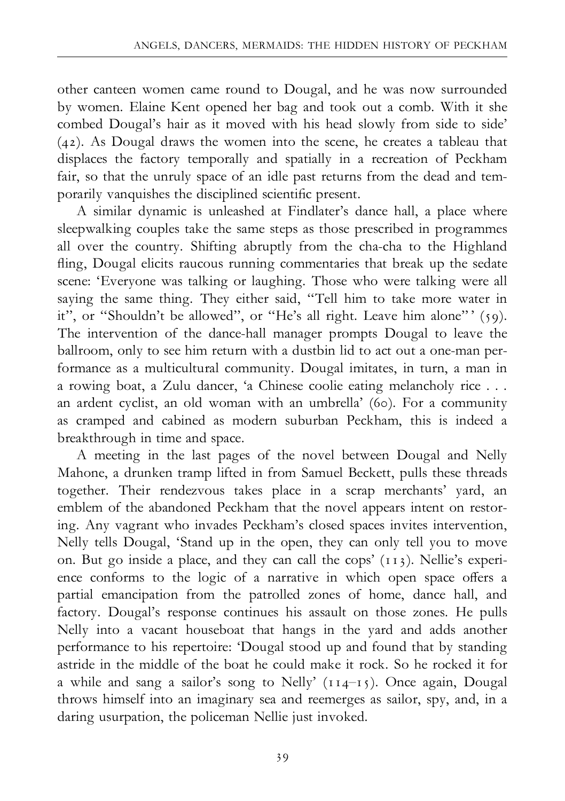other canteen women came round to Dougal, and he was now surrounded by women. Elaine Kent opened her bag and took out a comb. With it she combed Dougal's hair as it moved with his head slowly from side to side' (42). As Dougal draws the women into the scene, he creates a tableau that displaces the factory temporally and spatially in a recreation of Peckham fair, so that the unruly space of an idle past returns from the dead and temporarily vanquishes the disciplined scientific present.

A similar dynamic is unleashed at Findlater's dance hall, a place where sleepwalking couples take the same steps as those prescribed in programmes all over the country. Shifting abruptly from the cha-cha to the Highland fling, Dougal elicits raucous running commentaries that break up the sedate scene: 'Everyone was talking or laughing. Those who were talking were all saying the same thing. They either said, "Tell him to take more water in it", or "Shouldn't be allowed", or "He's all right. Leave him alone"' (59). The intervention of the dance-hall manager prompts Dougal to leave the ballroom, only to see him return with a dustbin lid to act out a one-man performance as a multicultural community. Dougal imitates, in turn, a man in a rowing boat, a Zulu dancer, 'a Chinese coolie eating melancholy rice . . . an ardent cyclist, an old woman with an umbrella' (60). For a community as cramped and cabined as modern suburban Peckham, this is indeed a breakthrough in time and space.

A meeting in the last pages of the novel between Dougal and Nelly Mahone, a drunken tramp lifted in from Samuel Beckett, pulls these threads together. Their rendezvous takes place in a scrap merchants' yard, an emblem of the abandoned Peckham that the novel appears intent on restoring. Any vagrant who invades Peckham's closed spaces invites intervention, Nelly tells Dougal, 'Stand up in the open, they can only tell you to move on. But go inside a place, and they can call the cops' (113). Nellie's experience conforms to the logic of a narrative in which open space offers a partial emancipation from the patrolled zones of home, dance hall, and factory. Dougal's response continues his assault on those zones. He pulls Nelly into a vacant houseboat that hangs in the yard and adds another performance to his repertoire: 'Dougal stood up and found that by standing astride in the middle of the boat he could make it rock. So he rocked it for a while and sang a sailor's song to Nelly'  $(114-15)$ . Once again, Dougal throws himself into an imaginary sea and reemerges as sailor, spy, and, in a daring usurpation, the policeman Nellie just invoked.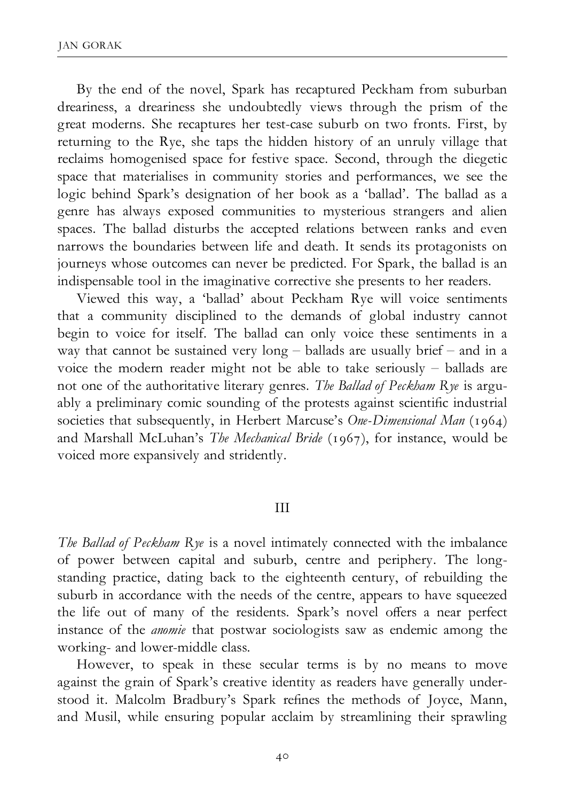By the end of the novel, Spark has recaptured Peckham from suburban dreariness, a dreariness she undoubtedly views through the prism of the great moderns. She recaptures her test-case suburb on two fronts. First, by returning to the Rye, she taps the hidden history of an unruly village that reclaims homogenised space for festive space. Second, through the diegetic space that materialises in community stories and performances, we see the logic behind Spark's designation of her book as a 'ballad'. The ballad as a genre has always exposed communities to mysterious strangers and alien spaces. The ballad disturbs the accepted relations between ranks and even narrows the boundaries between life and death. It sends its protagonists on journeys whose outcomes can never be predicted. For Spark, the ballad is an indispensable tool in the imaginative corrective she presents to her readers.

Viewed this way, a 'ballad' about Peckham Rye will voice sentiments that a community disciplined to the demands of global industry cannot begin to voice for itself. The ballad can only voice these sentiments in a way that cannot be sustained very  $\log -$  ballads are usually brief  $-$  and in a voice the modern reader might not be able to take seriously  $-$  ballads are not one of the authoritative literary genres. The Ballad of Peckham Rye is arguably a preliminary comic sounding of the protests against scientific industrial societies that subsequently, in Herbert Marcuse's One-Dimensional Man (1964) and Marshall McLuhan's The Mechanical Bride (1967), for instance, would be voiced more expansively and stridently.

#### III

The Ballad of Peckham Rye is a novel intimately connected with the imbalance of power between capital and suburb, centre and periphery. The longstanding practice, dating back to the eighteenth century, of rebuilding the suburb in accordance with the needs of the centre, appears to have squeezed the life out of many of the residents. Spark's novel offers a near perfect instance of the anomie that postwar sociologists saw as endemic among the working- and lower-middle class.

However, to speak in these secular terms is by no means to move against the grain of Spark's creative identity as readers have generally understood it. Malcolm Bradbury's Spark refines the methods of Joyce, Mann, and Musil, while ensuring popular acclaim by streamlining their sprawling

40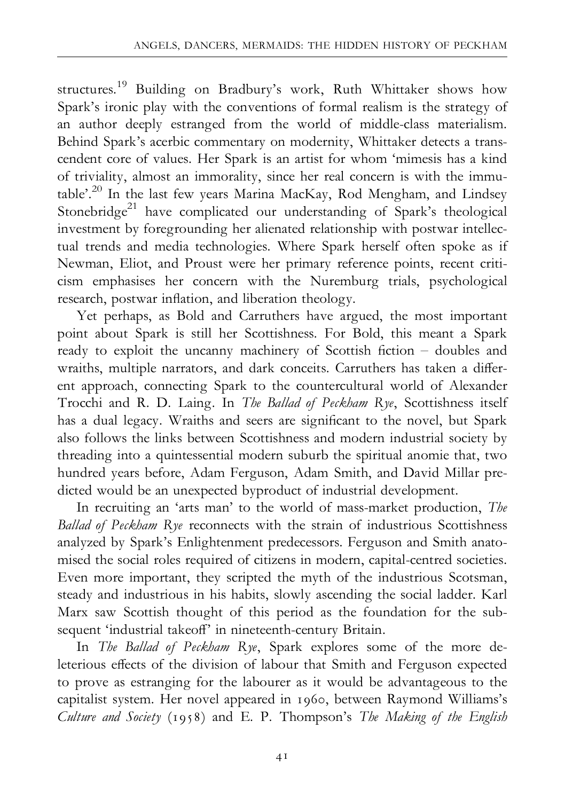structures.19 Building on Bradbury's work, Ruth Whittaker shows how Spark's ironic play with the conventions of formal realism is the strategy of an author deeply estranged from the world of middle-class materialism. Behind Spark's acerbic commentary on modernity, Whittaker detects a transcendent core of values. Her Spark is an artist for whom 'mimesis has a kind of triviality, almost an immorality, since her real concern is with the immutable'.<sup>20</sup> In the last few years Marina MacKay, Rod Mengham, and Lindsey Stonebridge<sup>21</sup> have complicated our understanding of Spark's theological investment by foregrounding her alienated relationship with postwar intellectual trends and media technologies. Where Spark herself often spoke as if Newman, Eliot, and Proust were her primary reference points, recent criticism emphasises her concern with the Nuremburg trials, psychological research, postwar inflation, and liberation theology.

Yet perhaps, as Bold and Carruthers have argued, the most important point about Spark is still her Scottishness. For Bold, this meant a Spark ready to exploit the uncanny machinery of Scottish fiction - doubles and wraiths, multiple narrators, and dark conceits. Carruthers has taken a different approach, connecting Spark to the countercultural world of Alexander Trocchi and R. D. Laing. In The Ballad of Peckham Rye, Scottishness itself has a dual legacy. Wraiths and seers are significant to the novel, but Spark also follows the links between Scottishness and modern industrial society by threading into a quintessential modern suburb the spiritual anomie that, two hundred years before, Adam Ferguson, Adam Smith, and David Millar predicted would be an unexpected byproduct of industrial development.

In recruiting an 'arts man' to the world of mass-market production, *The* Ballad of Peckham Rye reconnects with the strain of industrious Scottishness analyzed by Spark's Enlightenment predecessors. Ferguson and Smith anatomised the social roles required of citizens in modern, capital-centred societies. Even more important, they scripted the myth of the industrious Scotsman, steady and industrious in his habits, slowly ascending the social ladder. Karl Marx saw Scottish thought of this period as the foundation for the subsequent 'industrial takeoff' in nineteenth-century Britain.

In The Ballad of Peckham Rye, Spark explores some of the more deleterious effects of the division of labour that Smith and Ferguson expected to prove as estranging for the labourer as it would be advantageous to the capitalist system. Her novel appeared in 1960, between Raymond Williams's Culture and Society (1958) and E. P. Thompson's The Making of the English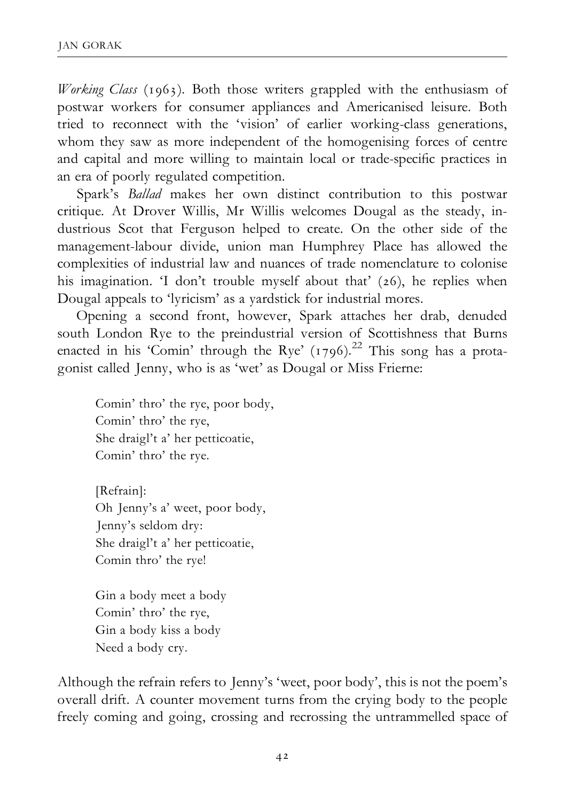Working Class (1963). Both those writers grappled with the enthusiasm of postwar workers for consumer appliances and Americanised leisure. Both tried to reconnect with the 'vision' of earlier working-class generations, whom they saw as more independent of the homogenising forces of centre and capital and more willing to maintain local or trade-specific practices in an era of poorly regulated competition.

Spark's Ballad makes her own distinct contribution to this postwar critique. At Drover Willis, Mr Willis welcomes Dougal as the steady, industrious Scot that Ferguson helped to create. On the other side of the management-labour divide, union man Humphrey Place has allowed the complexities of industrial law and nuances of trade nomenclature to colonise his imagination. 'I don't trouble myself about that' (26), he replies when Dougal appeals to 'lyricism' as a yardstick for industrial mores.

Opening a second front, however, Spark attaches her drab, denuded south London Rye to the preindustrial version of Scottishness that Burns enacted in his 'Comin' through the Rye'  $(1796)$ <sup>22</sup>. This song has a protagonist called Jenny, who is as 'wet' as Dougal or Miss Frierne:

Comin' thro' the rye, poor body, Comin' thro' the rye, She draigl't a' her petticoatie, Comin' thro' the rye.

[Refrain]: Oh Jenny's a' weet, poor body, Jenny's seldom dry: She draigl't a' her petticoatie, Comin thro' the rye!

Gin a body meet a body Comin' thro' the rye, Gin a body kiss a body Need a body cry.

Although the refrain refers to Jenny's 'weet, poor body', this is not the poem's overall drift. A counter movement turns from the crying body to the people freely coming and going, crossing and recrossing the untrammelled space of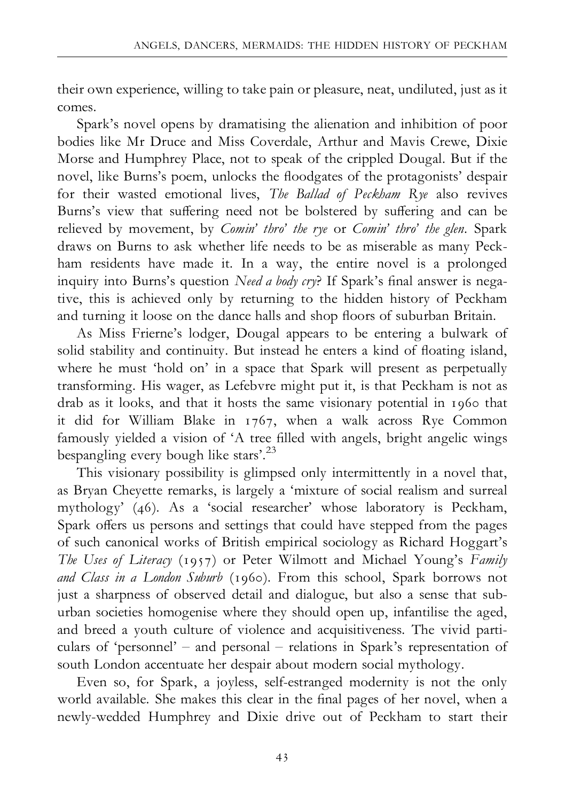their own experience, willing to take pain or pleasure, neat, undiluted, just as it comes.

Spark's novel opens by dramatising the alienation and inhibition of poor bodies like Mr Druce and Miss Coverdale, Arthur and Mavis Crewe, Dixie Morse and Humphrey Place, not to speak of the crippled Dougal. But if the novel, like Burns's poem, unlocks the floodgates of the protagonists' despair for their wasted emotional lives, The Ballad of Peckham Rye also revives Burns's view that suffering need not be bolstered by suffering and can be relieved by movement, by Comin' thro' the rye or Comin' thro' the glen. Spark draws on Burns to ask whether life needs to be as miserable as many Peckham residents have made it. In a way, the entire novel is a prolonged inquiry into Burns's question Need a body cry? If Spark's final answer is negative, this is achieved only by returning to the hidden history of Peckham and turning it loose on the dance halls and shop floors of suburban Britain.

As Miss Frierne's lodger, Dougal appears to be entering a bulwark of solid stability and continuity. But instead he enters a kind of floating island, where he must 'hold on' in a space that Spark will present as perpetually transforming. His wager, as Lefebvre might put it, is that Peckham is not as drab as it looks, and that it hosts the same visionary potential in 1960 that it did for William Blake in 1767, when a walk across Rye Common famously yielded a vision of 'A tree filled with angels, bright angelic wings bespangling every bough like stars'.23

This visionary possibility is glimpsed only intermittently in a novel that, as Bryan Cheyette remarks, is largely a 'mixture of social realism and surreal mythology' (46). As a 'social researcher' whose laboratory is Peckham, Spark offers us persons and settings that could have stepped from the pages of such canonical works of British empirical sociology as Richard Hoggart's The Uses of Literacy (1957) or Peter Wilmott and Michael Young's Family and Class in a London Suburb (1960). From this school, Spark borrows not just a sharpness of observed detail and dialogue, but also a sense that suburban societies homogenise where they should open up, infantilise the aged, and breed a youth culture of violence and acquisitiveness. The vivid particulars of 'personnel' - and personal - relations in Spark's representation of south London accentuate her despair about modern social mythology.

Even so, for Spark, a joyless, self-estranged modernity is not the only world available. She makes this clear in the final pages of her novel, when a newly-wedded Humphrey and Dixie drive out of Peckham to start their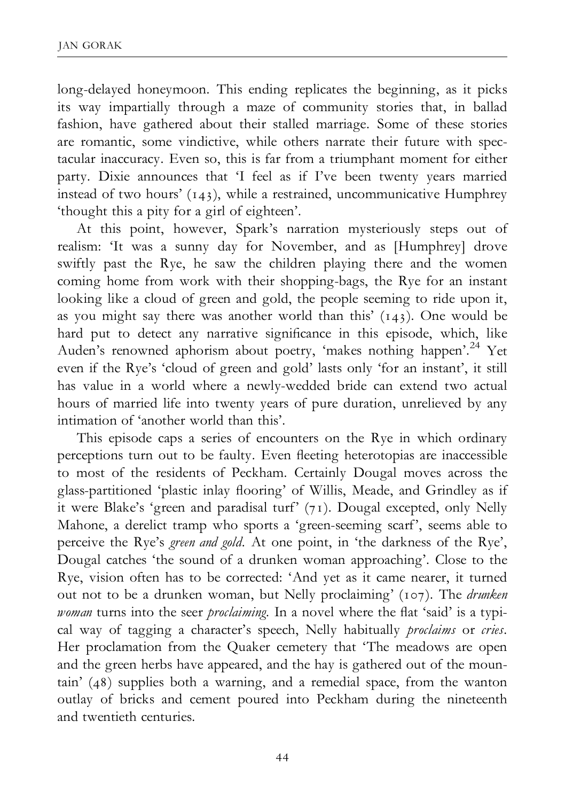long-delayed honeymoon. This ending replicates the beginning, as it picks its way impartially through a maze of community stories that, in ballad fashion, have gathered about their stalled marriage. Some of these stories are romantic, some vindictive, while others narrate their future with spectacular inaccuracy. Even so, this is far from a triumphant moment for either party. Dixie announces that 'I feel as if I've been twenty years married instead of two hours' (143), while a restrained, uncommunicative Humphrey 'thought this a pity for a girl of eighteen'.

At this point, however, Spark's narration mysteriously steps out of realism: 'It was a sunny day for November, and as [Humphrey] drove swiftly past the Rye, he saw the children playing there and the women coming home from work with their shopping-bags, the Rye for an instant looking like a cloud of green and gold, the people seeming to ride upon it, as you might say there was another world than this' (143). One would be hard put to detect any narrative significance in this episode, which, like Auden's renowned aphorism about poetry, 'makes nothing happen'.<sup>24</sup> Yet even if the Rye's 'cloud of green and gold' lasts only 'for an instant', it still has value in a world where a newly-wedded bride can extend two actual hours of married life into twenty years of pure duration, unrelieved by any intimation of 'another world than this'.

This episode caps a series of encounters on the Rye in which ordinary perceptions turn out to be faulty. Even fleeting heterotopias are inaccessible to most of the residents of Peckham. Certainly Dougal moves across the glass-partitioned 'plastic inlay flooring' of Willis, Meade, and Grindley as if it were Blake's 'green and paradisal turf' (71). Dougal excepted, only Nelly Mahone, a derelict tramp who sports a 'green-seeming scarf', seems able to perceive the Rye's green and gold. At one point, in 'the darkness of the Rye', Dougal catches 'the sound of a drunken woman approaching'. Close to the Rye, vision often has to be corrected: 'And yet as it came nearer, it turned out not to be a drunken woman, but Nelly proclaiming' (107). The drunken woman turns into the seer *proclaiming*. In a novel where the flat 'said' is a typical way of tagging a character's speech, Nelly habitually *proclaims* or cries. Her proclamation from the Quaker cemetery that 'The meadows are open and the green herbs have appeared, and the hay is gathered out of the mountain' (48) supplies both a warning, and a remedial space, from the wanton outlay of bricks and cement poured into Peckham during the nineteenth and twentieth centuries.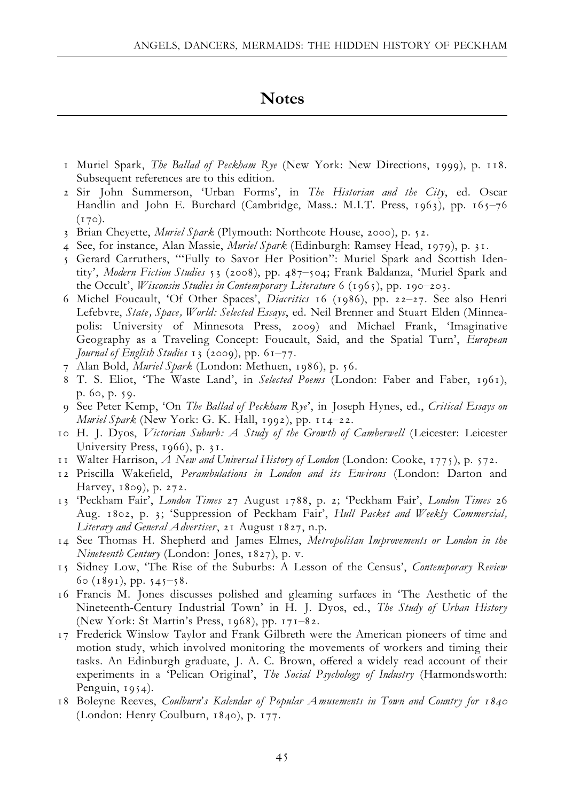### **Notes**

- 1 Muriel Spark, The Ballad of Peckham Rye (New York: New Directions, 1999), p. 118. Subsequent references are to this edition.
- 2 Sir John Summerson, 'Urban Forms', in The Historian and the City, ed. Oscar Handlin and John E. Burchard (Cambridge, Mass.: M.I.T. Press, 1963), pp. 165-76  $(170)$ .
- 3 Brian Cheyette, *Muriel Spark* (Plymouth: Northcote House, 2000), p. 52.
- 4 See, for instance, Alan Massie, Muriel Spark (Edinburgh: Ramsey Head, 1979), p. 31.
- 5 Gerard Carruthers, '''Fully to Savor Her Position'': Muriel Spark and Scottish Identity', Modern Fiction Studies 53 (2008), pp. 487^504; Frank Baldanza, 'Muriel Spark and the Occult', Wisconsin Studies in Contemporary Literature 6 (1965), pp. 190-203.
- 6 Michel Foucault, 'Of Other Spaces', Diacritics 16 (1986), pp. 22-27. See also Henri Lefebvre, State, Space, World: Selected Essays, ed. Neil Brenner and Stuart Elden (Minneapolis: University of Minnesota Press, 2009) and Michael Frank, 'Imaginative Geography as a Traveling Concept: Foucault, Said, and the Spatial Turn', European Journal of English Studies 13 (2009), pp.  $61–77$ .
- 7 Alan Bold, Muriel Spark (London: Methuen, 1986), p. 56.
- 8 T. S. Eliot, 'The Waste Land', in Selected Poems (London: Faber and Faber, 1961), p. 60, p. 59.
- 9 See Peter Kemp, 'On The Ballad of Peckham Rye', in Joseph Hynes, ed., Critical Essays on Muriel Spark (New York: G. K. Hall, 1992), pp. 114-22.
- 10 H. J. Dyos, Victorian Suburb: A Study of the Growth of Camberwell (Leicester: Leicester University Press, 1966), p. 31.
- 11 Walter Harrison, A New and Universal History of London (London: Cooke, 1775), p. 572.
- 12 Priscilla Wakefield, Perambulations in London and its Environs (London: Darton and Harvey, 1809), p. 272.
- 13 'Peckham Fair', London Times 27 August 1788, p. 2; 'Peckham Fair', London Times 26 Aug. 1802, p. 3; 'Suppression of Peckham Fair', Hull Packet and Weekly Commercial, Literary and General Advertiser, 21 August 1827, n.p.
- 14 See Thomas H. Shepherd and James Elmes, Metropolitan Improvements or London in the Nineteenth Century (London: Jones, 1827), p. v.
- 15 Sidney Low, 'The Rise of the Suburbs: A Lesson of the Census', Contemporary Review  $60 (1891)$ , pp.  $545 - 58$ .
- 16 Francis M. Jones discusses polished and gleaming surfaces in 'The Aesthetic of the Nineteenth-Century Industrial Town' in H. J. Dyos, ed., The Study of Urban History (New York: St Martin's Press, 1968), pp. 171^82.
- 17 Frederick Winslow Taylor and Frank Gilbreth were the American pioneers of time and motion study, which involved monitoring the movements of workers and timing their tasks. An Edinburgh graduate, J. A. C. Brown, offered a widely read account of their experiments in a 'Pelican Original', The Social Psychology of Industry (Harmondsworth: Penguin, 1954).
- 18 Boleyne Reeves, Coulburn's Kalendar of Popular Amusements in Town and Country for <sup>1840</sup> (London: Henry Coulburn, 1840), p. 177.